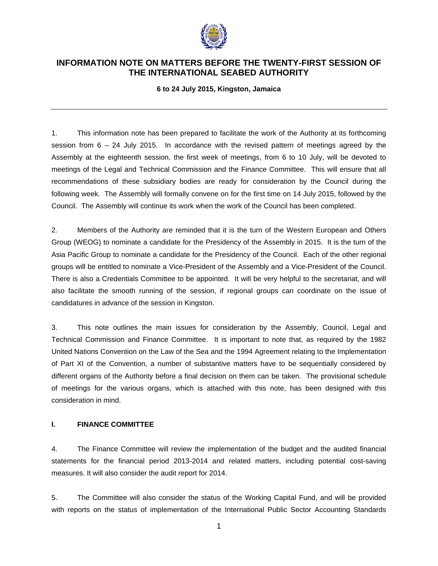

# **INFORMATION NOTE ON MATTERS BEFORE THE TWENTY-FIRST SESSION OF THE INTERNATIONAL SEABED AUTHORITY**

**6 to 24 July 2015, Kingston, Jamaica** 

1. This information note has been prepared to facilitate the work of the Authority at its forthcoming session from 6 – 24 July 2015. In accordance with the revised pattern of meetings agreed by the Assembly at the eighteenth session, the first week of meetings, from 6 to 10 July, will be devoted to meetings of the Legal and Technical Commission and the Finance Committee. This will ensure that all recommendations of these subsidiary bodies are ready for consideration by the Council during the following week. The Assembly will formally convene on for the first time on 14 July 2015, followed by the Council. The Assembly will continue its work when the work of the Council has been completed.

2. Members of the Authority are reminded that it is the turn of the Western European and Others Group (WEOG) to nominate a candidate for the Presidency of the Assembly in 2015. It is the turn of the Asia Pacific Group to nominate a candidate for the Presidency of the Council. Each of the other regional groups will be entitled to nominate a Vice-President of the Assembly and a Vice-President of the Council. There is also a Credentials Committee to be appointed. It will be very helpful to the secretariat, and will also facilitate the smooth running of the session, if regional groups can coordinate on the issue of candidatures in advance of the session in Kingston.

3. This note outlines the main issues for consideration by the Assembly, Council, Legal and Technical Commission and Finance Committee. It is important to note that, as required by the 1982 United Nations Convention on the Law of the Sea and the 1994 Agreement relating to the Implementation of Part XI of the Convention, a number of substantive matters have to be sequentially considered by different organs of the Authority before a final decision on them can be taken. The provisional schedule of meetings for the various organs, which is attached with this note, has been designed with this consideration in mind.

#### **I. FINANCE COMMITTEE**

4. The Finance Committee will review the implementation of the budget and the audited financial statements for the financial period 2013-2014 and related matters, including potential cost-saving measures. It will also consider the audit report for 2014.

5. The Committee will also consider the status of the Working Capital Fund, and will be provided with reports on the status of implementation of the International Public Sector Accounting Standards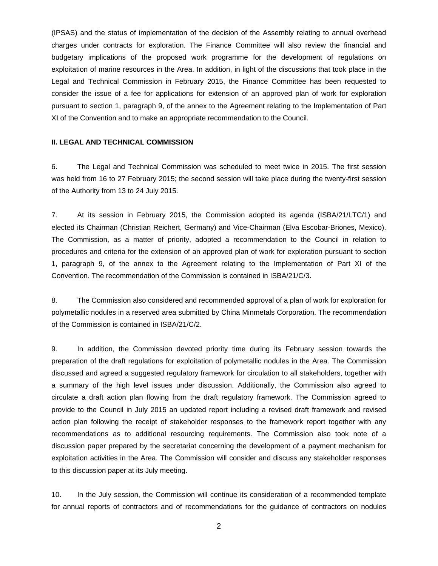(IPSAS) and the status of implementation of the decision of the Assembly relating to annual overhead charges under contracts for exploration. The Finance Committee will also review the financial and budgetary implications of the proposed work programme for the development of regulations on exploitation of marine resources in the Area. In addition, in light of the discussions that took place in the Legal and Technical Commission in February 2015, the Finance Committee has been requested to consider the issue of a fee for applications for extension of an approved plan of work for exploration pursuant to section 1, paragraph 9, of the annex to the Agreement relating to the Implementation of Part XI of the Convention and to make an appropriate recommendation to the Council.

### **II. LEGAL AND TECHNICAL COMMISSION**

6. The Legal and Technical Commission was scheduled to meet twice in 2015. The first session was held from 16 to 27 February 2015; the second session will take place during the twenty-first session of the Authority from 13 to 24 July 2015.

7. At its session in February 2015, the Commission adopted its agenda (ISBA/21/LTC/1) and elected its Chairman (Christian Reichert, Germany) and Vice-Chairman (Elva Escobar-Briones, Mexico). The Commission, as a matter of priority, adopted a recommendation to the Council in relation to procedures and criteria for the extension of an approved plan of work for exploration pursuant to section 1, paragraph 9, of the annex to the Agreement relating to the Implementation of Part XI of the Convention. The recommendation of the Commission is contained in ISBA/21/C/3.

8. The Commission also considered and recommended approval of a plan of work for exploration for polymetallic nodules in a reserved area submitted by China Minmetals Corporation. The recommendation of the Commission is contained in ISBA/21/C/2.

9. In addition, the Commission devoted priority time during its February session towards the preparation of the draft regulations for exploitation of polymetallic nodules in the Area. The Commission discussed and agreed a suggested regulatory framework for circulation to all stakeholders, together with a summary of the high level issues under discussion. Additionally, the Commission also agreed to circulate a draft action plan flowing from the draft regulatory framework. The Commission agreed to provide to the Council in July 2015 an updated report including a revised draft framework and revised action plan following the receipt of stakeholder responses to the framework report together with any recommendations as to additional resourcing requirements. The Commission also took note of a discussion paper prepared by the secretariat concerning the development of a payment mechanism for exploitation activities in the Area. The Commission will consider and discuss any stakeholder responses to this discussion paper at its July meeting.

10. In the July session, the Commission will continue its consideration of a recommended template for annual reports of contractors and of recommendations for the guidance of contractors on nodules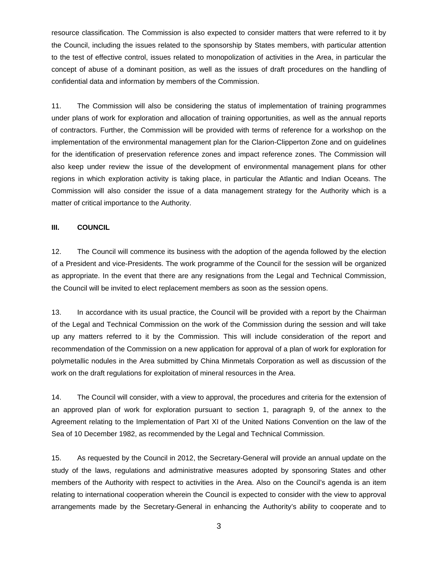resource classification. The Commission is also expected to consider matters that were referred to it by the Council, including the issues related to the sponsorship by States members, with particular attention to the test of effective control, issues related to monopolization of activities in the Area, in particular the concept of abuse of a dominant position, as well as the issues of draft procedures on the handling of confidential data and information by members of the Commission.

11. The Commission will also be considering the status of implementation of training programmes under plans of work for exploration and allocation of training opportunities, as well as the annual reports of contractors. Further, the Commission will be provided with terms of reference for a workshop on the implementation of the environmental management plan for the Clarion-Clipperton Zone and on guidelines for the identification of preservation reference zones and impact reference zones. The Commission will also keep under review the issue of the development of environmental management plans for other regions in which exploration activity is taking place, in particular the Atlantic and Indian Oceans. The Commission will also consider the issue of a data management strategy for the Authority which is a matter of critical importance to the Authority.

#### **III. COUNCIL**

12. The Council will commence its business with the adoption of the agenda followed by the election of a President and vice-Presidents. The work programme of the Council for the session will be organized as appropriate. In the event that there are any resignations from the Legal and Technical Commission, the Council will be invited to elect replacement members as soon as the session opens.

13. In accordance with its usual practice, the Council will be provided with a report by the Chairman of the Legal and Technical Commission on the work of the Commission during the session and will take up any matters referred to it by the Commission. This will include consideration of the report and recommendation of the Commission on a new application for approval of a plan of work for exploration for polymetallic nodules in the Area submitted by China Minmetals Corporation as well as discussion of the work on the draft regulations for exploitation of mineral resources in the Area.

14. The Council will consider, with a view to approval, the procedures and criteria for the extension of an approved plan of work for exploration pursuant to section 1, paragraph 9, of the annex to the Agreement relating to the Implementation of Part XI of the United Nations Convention on the law of the Sea of 10 December 1982, as recommended by the Legal and Technical Commission.

15. As requested by the Council in 2012, the Secretary-General will provide an annual update on the study of the laws, regulations and administrative measures adopted by sponsoring States and other members of the Authority with respect to activities in the Area. Also on the Council's agenda is an item relating to international cooperation wherein the Council is expected to consider with the view to approval arrangements made by the Secretary-General in enhancing the Authority's ability to cooperate and to

3